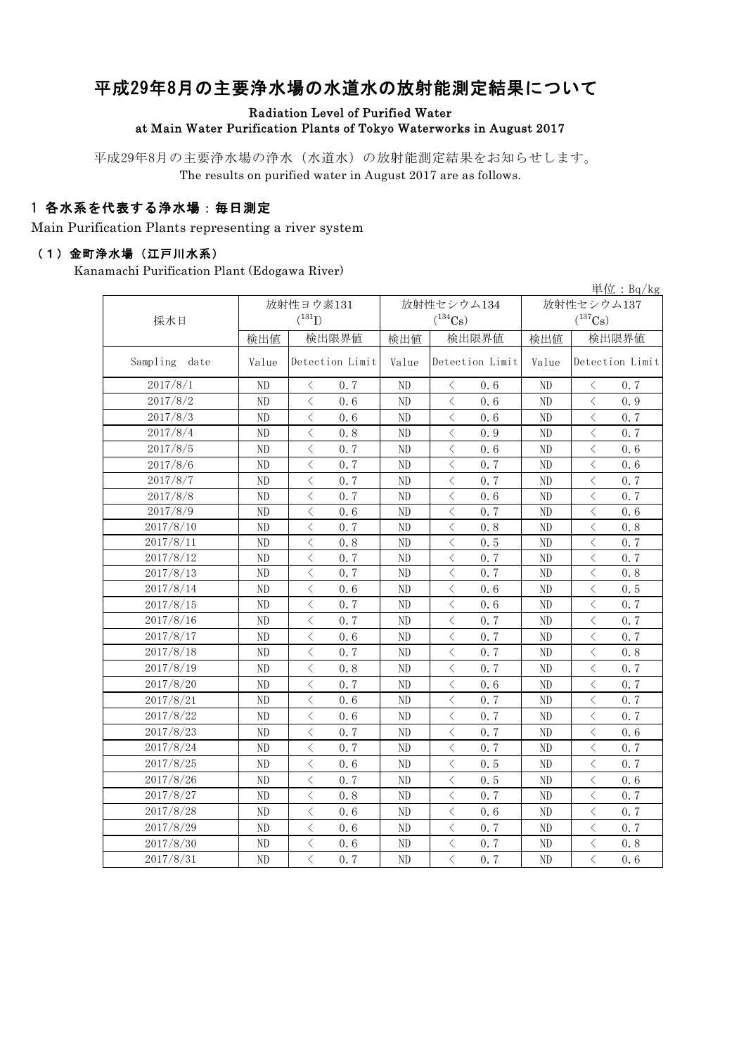## 平成29年8月の主要浄水場の水道水の放射能測定結果について

#### Radiation Level of Purified Water at Main Water Purification Plants of Tokyo Waterworks in August 2017

平成29年8月の主要浄水場の浄水(水道水)の放射能測定結果をお知らせします。 The results on purified water in August 2017 are as follows.

### 1 各水系を代表する浄水場:毎日測定

Main Purification Plants representing a river system

#### (1)金町浄水場(江戸川水系)

Kanamachi Purification Plant (Edogawa River)

|                  |                |                                                 |                          |                                                                                                                                                                      |                | 単位: $Bq/kg$                                     |  |
|------------------|----------------|-------------------------------------------------|--------------------------|----------------------------------------------------------------------------------------------------------------------------------------------------------------------|----------------|-------------------------------------------------|--|
|                  |                | 放射性ヨウ素131                                       |                          | 放射性セシウム134                                                                                                                                                           | 放射性セシウム137     |                                                 |  |
| 採水日              |                | $(^{131}I)$                                     |                          | $(^{134}Cs)$                                                                                                                                                         |                | $(^{137}\mathrm{Cs})$                           |  |
|                  | 検出値            | 検出限界値                                           | 検出値                      | 検出限界値                                                                                                                                                                | 検出値            | 検出限界値                                           |  |
| Sampling<br>date | Value          | Detection Limit                                 | Detection Limit<br>Value |                                                                                                                                                                      | Value          | Detection Limit                                 |  |
| 2017/8/1         | N <sub>D</sub> | $\langle$<br>0, 7                               | ND                       | $\langle$<br>0.6                                                                                                                                                     | ND             | $\langle$<br>0.7                                |  |
| 2017/8/2         | ND             | $\langle$<br>0.6                                | ND                       | $\langle$<br>0, 6                                                                                                                                                    | ND             | $\langle$<br>0.9                                |  |
| 2017/8/3         | $\rm ND$       | $\langle$<br>0.6                                | ND                       | $\lt$<br>0.6                                                                                                                                                         | ND             | $\langle$<br>0.7                                |  |
| 2017/8/4         | ND             | $\langle$<br>0.8                                | ND                       | $\overline{\left\langle \right. }% ,\left\langle \overline{\left\langle \right. }% ,\left\langle \overline{\left\langle \right\rangle }\right\rangle \right.$<br>0.9 | ND             | $\langle$<br>0.7                                |  |
| 2017/8/5         | ND             | $\langle$<br>0.7                                | ND                       | $\langle$<br>0.6                                                                                                                                                     | ND             | $\langle$<br>0.6                                |  |
| 2017/8/6         | ND             | $\, \zeta \,$<br>0.7                            | ND                       | $\lt$<br>0.7                                                                                                                                                         | $\rm ND$       | $\lt$<br>0.6                                    |  |
| 2017/8/7         | ND             | $\langle$<br>0.7                                | ND                       | $\lt$<br>0.7                                                                                                                                                         | ND             | $\langle$<br>0.7                                |  |
| 2017/8/8         | ND             | $\langle$<br>0, 7                               | ND                       | 0, 6<br>$\langle$                                                                                                                                                    | N <sub>D</sub> | 0.7<br>$\langle$                                |  |
| 2017/8/9         | ND             | $\langle$<br>0.6                                | ND                       | $\lt$<br>0.7                                                                                                                                                         | ND             | $\lt$<br>0.6                                    |  |
| 2017/8/10        | ND             | $\langle$<br>0.7                                | ND                       | $\lt$<br>0.8                                                                                                                                                         | ND             | $\lt$<br>0.8                                    |  |
| 2017/8/11        | $\rm ND$       | $\lt$<br>0.8                                    | ND                       | $\lt$<br>0.5                                                                                                                                                         | $\rm ND$       | $\langle$<br>0.7                                |  |
| 2017/8/12        | ND             | $\lt$<br>0.7                                    | ND                       | $\langle$<br>0.7                                                                                                                                                     | ND             | $\langle$<br>0.7                                |  |
| 2017/8/13        | ND             | $\lt$<br>0.7                                    | ND                       | $\langle$<br>0.7                                                                                                                                                     | ND             | $\langle$<br>0.8                                |  |
| 2017/8/14        | ND             | $\lt$<br>0.6                                    | ND                       | $\langle$<br>0.6                                                                                                                                                     | ND             | $\lt$<br>0.5                                    |  |
| 2017/8/15        | ND             | $\, <\,$<br>0.7                                 | ND                       | $\lt$<br>0.6                                                                                                                                                         | ND             | $\lt$<br>0.7                                    |  |
| 2017/8/16        | ND             | $\langle$<br>0.7                                | ND                       | $\langle$<br>0.7                                                                                                                                                     | N <sub>D</sub> | $\langle$<br>0.7                                |  |
| 2017/8/17        | ND             | $\langle$<br>0.6                                | ND                       | $\langle$<br>0.7                                                                                                                                                     | ND             | $\langle$<br>0.7                                |  |
| 2017/8/18        | N <sub>D</sub> | $\langle$<br>0.7                                | ND                       | 0.7<br>⟨                                                                                                                                                             | ND             | $\lt$<br>0.8                                    |  |
| 2017/8/19        | ND             | $\langle$<br>0.8                                | ND                       | $\langle$<br>0.7                                                                                                                                                     | $\rm ND$       | 0.7<br>$\langle$                                |  |
| 2017/8/20        | $\rm ND$       | $\langle$<br>0.7                                | ND                       | $\langle$<br>0.6                                                                                                                                                     | $\rm ND$       | $\langle$<br>0.7                                |  |
| 2017/8/21        | ${\rm ND}$     | $\langle$<br>0.6                                | ND                       | $\lt$<br>0.7                                                                                                                                                         | ND             | $\langle$<br>0.7                                |  |
| 2017/8/22        | ND             | $\langle$<br>0.6                                | ND                       | $\lt$<br>0.7                                                                                                                                                         | N <sub>D</sub> | 0.7<br>$\langle$                                |  |
| 2017/8/23        | ND             | $\lt$<br>0.7                                    | ND                       | $\lt$<br>0.7                                                                                                                                                         | N <sub>D</sub> | $\langle$<br>0.6                                |  |
| 2017/8/24        | N <sub>D</sub> | $\langle$<br>0.7                                | ND                       | $\langle$<br>0.7                                                                                                                                                     | ND             | $\langle$<br>0.7                                |  |
| 2017/8/25        | ND             | $\lt$<br>0.6                                    | ND                       | $\lt$<br>0.5                                                                                                                                                         | ND             | $\lt$<br>0.7                                    |  |
| 2017/8/26        | ND             | $\overline{\left\langle \right\rangle }$<br>0.7 | ND                       | $\overline{\left\langle \right\rangle }$<br>0.5                                                                                                                      | N <sub>D</sub> | $\overline{\left\langle \right\rangle }$<br>0.6 |  |
| 2017/8/27        | ND             | $\langle$<br>0.8                                | ND                       | $\langle$<br>0.7                                                                                                                                                     | ND             | $\langle$<br>0.7                                |  |
| 2017/8/28        | ND             | $\langle$<br>0.6                                | ND                       | $\langle$<br>0.6                                                                                                                                                     | N <sub>D</sub> | $\langle$<br>0.7                                |  |
| 2017/8/29        | N <sub>D</sub> | $\langle$<br>0.6                                | ND                       | $\langle$<br>0.7                                                                                                                                                     | ND             | 0.7<br>$\langle$                                |  |
| 2017/8/30        | ND             | $\langle$<br>0.6                                | ND                       | $\langle$<br>0.7                                                                                                                                                     | ND             | $\langle$<br>0.8                                |  |
| 2017/8/31        | N <sub>D</sub> | $\langle$<br>0.7                                | N <sub>D</sub>           | $\overline{\left\langle \right\rangle }$<br>0.7                                                                                                                      | N <sub>D</sub> | $\langle$<br>0.6                                |  |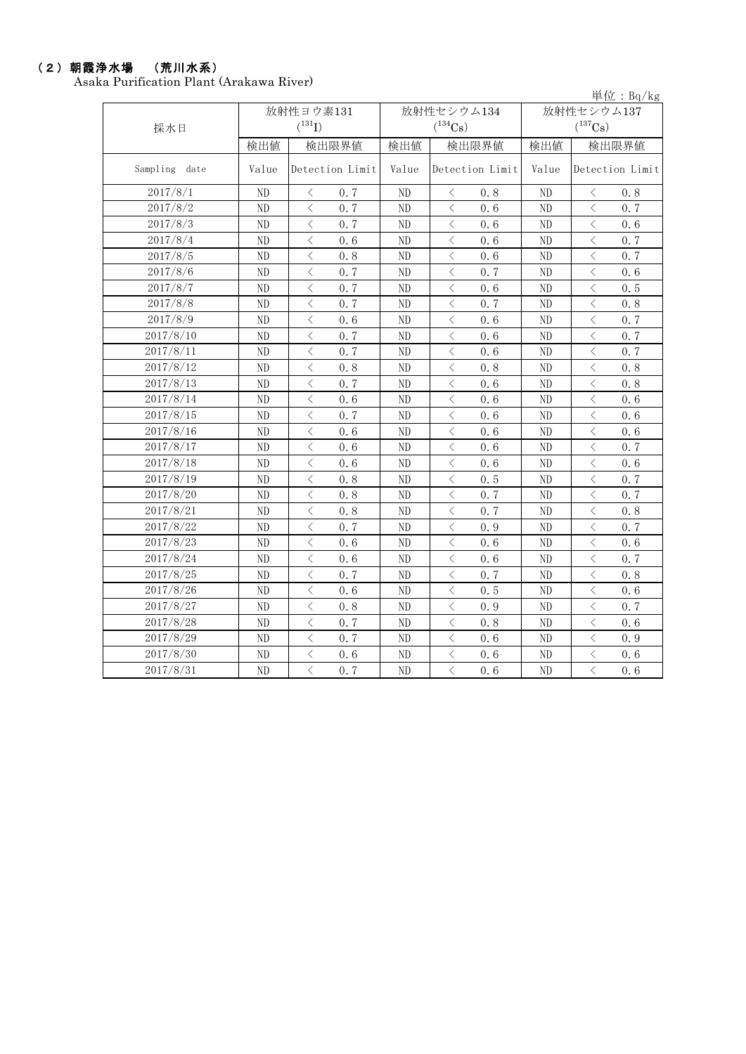# (2)朝霞浄水場 (荒川水系)

Asaka Purification Plant (Arakawa River)

|               |                |                                                 |                |                                                 |                | 単位: $Bq/kg$                                     |  |
|---------------|----------------|-------------------------------------------------|----------------|-------------------------------------------------|----------------|-------------------------------------------------|--|
|               |                | 放射性ヨウ素131                                       |                | 放射性セシウム134                                      | 放射性セシウム137     |                                                 |  |
| 採水日           |                | $(^{131}I)$                                     |                | $(^{134}\mathrm{Cs})$                           |                | $(^{137}\mathrm{Cs})$                           |  |
|               | 検出値            | 検出限界値                                           | 検出値            | 検出限界値                                           | 検出値            | 検出限界値                                           |  |
| Sampling date | Value          | Detection Limit                                 | Value          | Detection Limit                                 | Value          | Detection Limit                                 |  |
| 2017/8/1      | ND             | 0.7<br>$\lt$                                    | ND.            | $\langle$<br>0.8                                | ND             | 0.8<br>$\langle$                                |  |
| 2017/8/2      | N <sub>D</sub> | $\langle$<br>0.7                                | ND             | $\langle$<br>0.6                                | ND             | $\langle$<br>0.7                                |  |
| 2017/8/3      | N <sub>D</sub> | $\langle$<br>0.7                                | ND             | $\langle$<br>0.6                                | ND             | $\langle$<br>0.6                                |  |
| 2017/8/4      | ND             | $\langle$<br>0, 6                               | ND             | $\langle$<br>0.6                                | ND             | $\langle$<br>0.7                                |  |
| 2017/8/5      | ND             | $\lt$<br>0.8                                    | $\rm ND$       | $\lt$<br>0.6                                    | ND             | $\langle$<br>0.7                                |  |
| 2017/8/6      | ND             | $\lt$<br>0.7                                    | ND             | $\lt$<br>0.7                                    | ND             | $\langle$<br>0.6                                |  |
| 2017/8/7      | N <sub>D</sub> | $\lt$<br>0.7                                    | ND             | $\lt$<br>0.6                                    | ND             | $\lt$<br>0.5                                    |  |
| 2017/8/8      | ND             | $\lt$<br>0.7                                    | ND             | $\langle$<br>0, 7                               | ND             | $\lt$<br>0.8                                    |  |
| 2017/8/9      | ND             | $\langle$<br>0.6                                | ND             | $\langle$<br>0.6                                | $\rm ND$       | $\, <\,$<br>0.7                                 |  |
| 2017/8/10     | N <sub>D</sub> | $\langle$<br>0.7                                | ND             | $\lt$<br>0.6                                    | N <sub>D</sub> | $\langle$<br>0.7                                |  |
| 2017/8/11     | ND             | $\langle$<br>0.7                                | $\rm ND$       | $\lt$<br>0.6                                    | ND             | $\langle$<br>0.7                                |  |
| 2017/8/12     | ND             | $\langle$<br>0.8                                | ND             | $\lt$<br>0.8                                    | ND             | $\langle$<br>0.8                                |  |
| 2017/8/13     | N <sub>D</sub> | $\langle$<br>0, 7                               | ND             | ⟨<br>0.6                                        | ND             | $\langle$<br>0.8                                |  |
| 2017/8/14     | ND             | $\langle$<br>0.6                                | $\rm ND$       | 0.6<br>$\lt$                                    | ND             | $\langle$<br>0.6                                |  |
| 2017/8/15     | ND             | $\langle$<br>0.7                                | $\rm ND$       | $\langle$<br>0.6                                | $\rm ND$       | $\langle$<br>0.6                                |  |
| 2017/8/16     | ND             | $\langle$<br>0, 6                               | ND             | $\lt$<br>0.6                                    | ND             | $\langle$<br>0.6                                |  |
| 2017/8/17     | ND             | $\lt$<br>0.6                                    | $\rm ND$       | $\lt$<br>0.6                                    | $\rm ND$       | $\langle$<br>0.7                                |  |
| 2017/8/18     | ND             | $\langle$<br>0.6                                | $\rm ND$       | $\lt$<br>0.6                                    | ND             | $\langle$<br>0.6                                |  |
| 2017/8/19     | ND             | $\lt$<br>0.8                                    | N <sub>D</sub> | $\lt$<br>0.5                                    | N <sub>D</sub> | $\lt$<br>0.7                                    |  |
| 2017/8/20     | N <sub>D</sub> | $\langle$<br>0.8                                | ND             | $\langle$<br>0.7                                | N <sub>D</sub> | $\langle$<br>0.7                                |  |
| 2017/8/21     | ND             | $\lt$<br>0.8                                    | ND             | $\lt$<br>0.7                                    | ND             | $\lt$<br>0.8                                    |  |
| 2017/8/22     | ND             | $\lt$<br>0, 7                                   | ND             | $\lt$<br>0.9                                    | ND             | $\lt$<br>0.7                                    |  |
| 2017/8/23     | N <sub>D</sub> | $\overline{\left\langle \right\rangle }$<br>0.6 | ND             | $\overline{\left\langle \right\rangle }$<br>0.6 | ND             | $\overline{\left\langle \right\rangle }$<br>0.6 |  |
| 2017/8/24     | N <sub>D</sub> | $\langle$<br>0.6                                | ND             | $\langle$<br>0.6                                | ND             | $\langle$<br>0.7                                |  |
| 2017/8/25     | N <sub>D</sub> | $\langle$<br>0.7                                | N <sub>D</sub> | $\langle$<br>0.7                                | N <sub>D</sub> | $\langle$<br>0.8                                |  |
| 2017/8/26     | ND             | $\langle$<br>0.6                                | ND             | $\lt$<br>0.5                                    | ND             | $\langle$<br>0.6                                |  |
| 2017/8/27     | ND             | $\langle$<br>0.8                                | ND             | $\lt$<br>0.9                                    | ND             | $\langle$<br>0.7                                |  |
| 2017/8/28     | N <sub>D</sub> | $\langle$<br>0.7                                | ND             | $\langle$<br>0.8                                | N <sub>D</sub> | $\langle$<br>0.6                                |  |
| 2017/8/29     | ND             | $\langle$<br>0.7                                | ND             | $\lt$<br>0.6                                    | $\rm ND$       | $\langle$<br>0.9                                |  |
| 2017/8/30     | ND             | $\langle$<br>0.6                                | ND             | $\langle$<br>0.6                                | ND             | $\langle$<br>0.6                                |  |
| 2017/8/31     | ND             | $\langle$<br>0.7                                | ND             | $\langle$<br>0.6                                | ND             | $\langle$<br>0.6                                |  |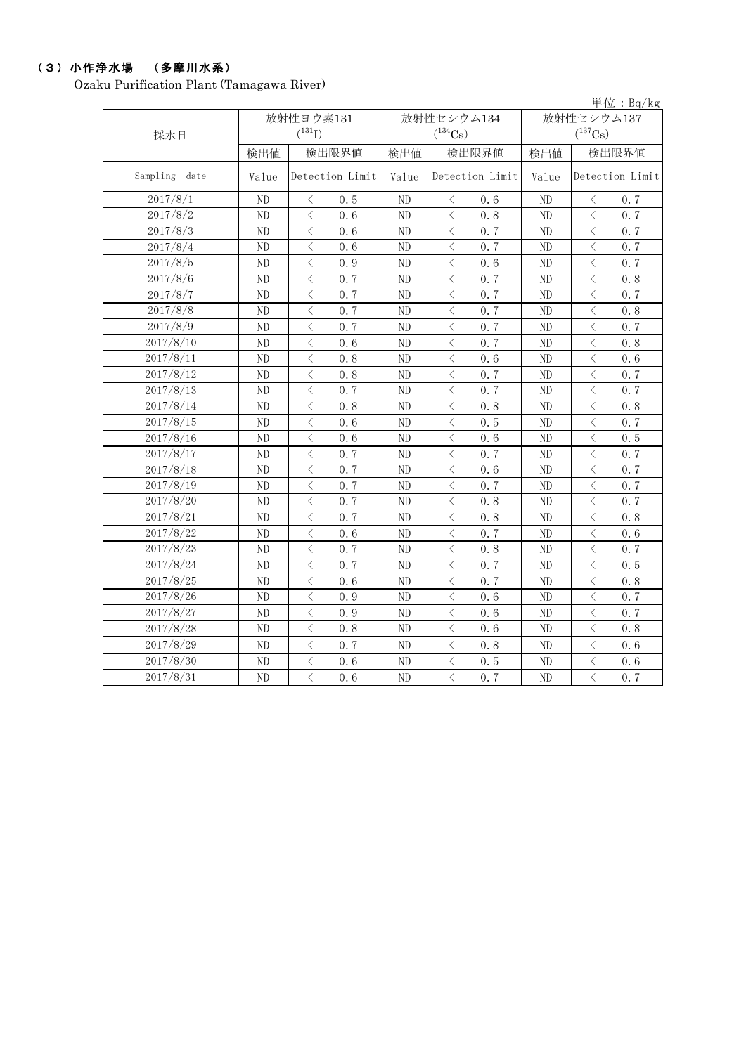### (3)小作浄水場 (多摩川水系)

Ozaku Purification Plant (Tamagawa River)

| 単位: $Bq/kg$   |                |                                                 |                          |                                                 |                |                  |  |  |
|---------------|----------------|-------------------------------------------------|--------------------------|-------------------------------------------------|----------------|------------------|--|--|
|               |                | 放射性ヨウ素131                                       |                          | 放射性セシウム134                                      | 放射性セシウム137     |                  |  |  |
| 採水日           |                | $(^{131}I)$<br>$(^{134}Cs)$                     |                          |                                                 |                | $(^{137}Cs)$     |  |  |
|               | 検出値            | 検出限界値                                           | 検出値                      | 検出限界値                                           | 検出値            | 検出限界値            |  |  |
| Sampling date | Value          | Detection Limit                                 | Detection Limit<br>Value |                                                 | Value          | Detection Limit  |  |  |
| 2017/8/1      | ND             | 0.5<br>$\langle$                                | ND                       | $\langle$<br>0.6                                | ND             | 0.7<br>$\langle$ |  |  |
| 2017/8/2      | N <sub>D</sub> | $\langle$<br>0.6                                | ND                       | $\langle$<br>0.8                                | N <sub>D</sub> | $\langle$<br>0.7 |  |  |
| 2017/8/3      | ND             | $\lt$<br>0.6                                    | ND                       | $\lt$<br>0.7                                    | ND             | $\langle$<br>0.7 |  |  |
| 2017/8/4      | ND             | $\langle$<br>0.6                                | ND                       | $\langle$<br>0.7                                | ND             | $\langle$<br>0.7 |  |  |
| 2017/8/5      | ${\rm ND}$     | $\langle$<br>0.9                                | ND                       | $\langle$<br>0.6                                | ND             | $\langle$<br>0.7 |  |  |
| 2017/8/6      | ND             | $\langle$<br>0.7                                | ND                       | $\langle$<br>0.7                                | ND             | $\langle$<br>0.8 |  |  |
| 2017/8/7      | ND             | $\langle$<br>0.7                                | ND                       | $\langle$<br>0.7                                | ND             | $\langle$<br>0.7 |  |  |
| 2017/8/8      | ND             | $\lt$<br>0, 7                                   | ND                       | $\lt$<br>0, 7                                   | ND             | $\lt$<br>0.8     |  |  |
| 2017/8/9      | ND             | $\langle$<br>0.7                                | ND                       | $\lt$<br>0.7                                    | ND             | $\langle$<br>0.7 |  |  |
| 2017/8/10     | ND             | $\langle$<br>0.6                                | ND                       | $\lt$<br>0.7                                    | ND             | $\lt$<br>0.8     |  |  |
| 2017/8/11     | $\rm ND$       | $\langle$<br>0.8                                | ND                       | $\lt$<br>0.6                                    | ND             | $\lt$<br>0.6     |  |  |
| 2017/8/12     | ND             | $\lt$<br>0.8                                    | ND                       | $\lt$<br>0.7                                    | ND             | $\lt$<br>0.7     |  |  |
| 2017/8/13     | ND             | $\lt$<br>0.7                                    | ND                       | $\lt$<br>0.7                                    | ND             | $\lt$<br>0.7     |  |  |
| 2017/8/14     | ND             | $\langle$<br>0.8                                | ND                       | $\langle$<br>0.8                                | ND             | $\langle$<br>0.8 |  |  |
| 2017/8/15     | $\rm ND$       | $\lt$<br>0.6                                    | ND                       | 0.5<br>$\langle$                                | ND             | $\lt$<br>0.7     |  |  |
| 2017/8/16     | ND             | $\langle$<br>0.6                                | ND                       | 0.6<br>$\langle$                                | ND             | 0.5<br>$\langle$ |  |  |
| 2017/8/17     | $\rm ND$       | $\langle$<br>0.7                                | ND                       | $\langle$<br>0.7                                | ND             | 0.7<br>$\langle$ |  |  |
| 2017/8/18     | ND             | $\langle$<br>0.7                                | ND                       | $\lt$<br>0.6                                    | ND             | 0.7<br>$\langle$ |  |  |
| 2017/8/19     | ND             | $\langle$<br>0.7                                | ND                       | 0.7<br>⟨                                        | ND             | 0.7<br>⟨         |  |  |
| 2017/8/20     | ND             | $\langle$<br>0, 7                               | ND                       | $\langle$<br>0.8                                | ND             | 0.7<br>$\lt$     |  |  |
| 2017/8/21     | ND             | $\langle$<br>0.7                                | ND                       | $\langle$<br>0.8                                | ND             | $\langle$<br>0.8 |  |  |
| 2017/8/22     | ND             | $\langle$<br>0.6                                | ND                       | $\langle$<br>0.7                                | ND             | $\langle$<br>0.6 |  |  |
| 2017/8/23     | ND             | $\langle$<br>0.7                                | ND                       | $\langle$<br>0.8                                | ND             | $\langle$<br>0.7 |  |  |
| 2017/8/24     | ND             | $\langle$<br>0.7                                | ND                       | $\lt$<br>0.7                                    | ND             | $\langle$<br>0.5 |  |  |
| 2017/8/25     | $\rm ND$       | $\langle$<br>0.6                                | ND                       | $\lt$<br>0.7                                    | ND             | $\lt$<br>0.8     |  |  |
| 2017/8/26     | ND             | $\langle$<br>0.9                                | ND                       | $\lt$<br>0.6                                    | ND             | $\langle$<br>0.7 |  |  |
| 2017/8/27     | ND             | $\langle$<br>0.9                                | ND                       | $\langle$<br>0.6                                | ND             | $\langle$<br>0.7 |  |  |
| 2017/8/28     | ND             | $\langle$<br>0.8                                | ND                       | $\lt$<br>0.6                                    | ND             | $\langle$<br>0.8 |  |  |
| 2017/8/29     | ND             | $\langle$<br>0.7                                | ND                       | $\langle$<br>0.8                                | ND             | $\langle$<br>0.6 |  |  |
| 2017/8/30     | ND             | $\lt$<br>0.6                                    | ND                       | $\lt$<br>0.5                                    | ND             | $\lt$<br>0.6     |  |  |
| 2017/8/31     | ND.            | $\overline{\left\langle \right\rangle }$<br>0.6 | N <sub>D</sub>           | $\overline{\left\langle \right\rangle }$<br>0.7 | N <sub>D</sub> | $\langle$<br>0.7 |  |  |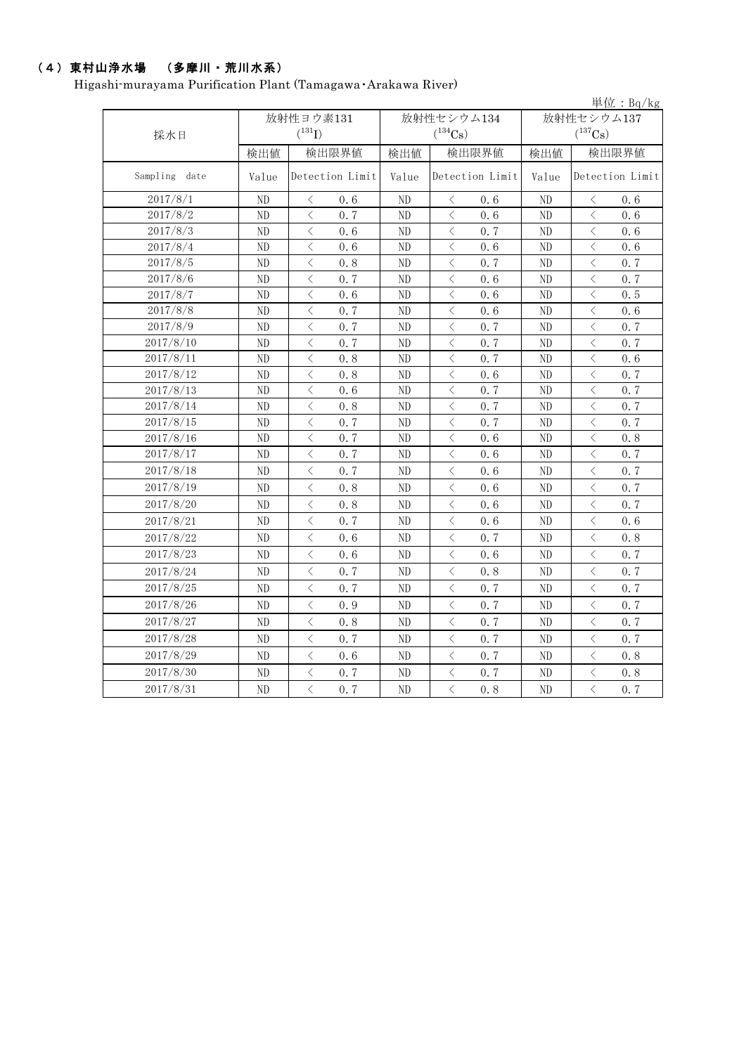### (4)東村山浄水場 (多摩川・荒川水系)

Higashi-murayama Purification Plant (Tamagawa・Arakawa River)

| 単位: $Bq/kg$   |            |                                                 |                          |                                    |                |                                      |  |  |  |
|---------------|------------|-------------------------------------------------|--------------------------|------------------------------------|----------------|--------------------------------------|--|--|--|
|               |            | 放射性ヨウ素131                                       |                          | 放射性セシウム134                         | 放射性セシウム137     |                                      |  |  |  |
| 採水日           |            | $(^{131}I)$                                     |                          | $(^{134}Cs)$                       |                | $(^{137}Cs)$                         |  |  |  |
|               | 検出値        | 検出限界値                                           | 検出値                      | 検出限界値                              | 検出値            | 検出限界値                                |  |  |  |
| Sampling date | Value      | Detection Limit                                 | Value<br>Detection Limit |                                    | Value          | Detection Limit                      |  |  |  |
| 2017/8/1      | ND         | $\langle$<br>0.6                                | ND                       | $\langle$<br>0.6                   | N <sub>D</sub> | $\langle$<br>0.6                     |  |  |  |
| 2017/8/2      | ND         | $\langle$<br>0.7                                | ND                       | $\langle$<br>0.6                   | ND             | $\langle$<br>0.6                     |  |  |  |
| 2017/8/3      | $\rm ND$   | $\langle$<br>0.6                                | ND                       | $\lt$<br>0.7                       | ND             | $\langle$<br>0.6                     |  |  |  |
| 2017/8/4      | ND         | $\langle$<br>0.6                                | ND                       | $\langle$<br>0.6                   | ND             | $\langle$<br>0.6                     |  |  |  |
| 2017/8/5      | ND         | $\langle$<br>0.8                                | ND                       | $\lt$<br>0.7                       | ND             | $\langle$<br>0.7                     |  |  |  |
| 2017/8/6      | ND         | $\langle$<br>0.7                                | ND                       | $\lt$<br>0.6                       | ND             | $\langle$<br>0.7                     |  |  |  |
| 2017/8/7      | ${\rm ND}$ | $\langle$<br>0.6                                | ND                       | $\langle$<br>0.6                   | $\rm ND$       | $\langle$<br>0.5                     |  |  |  |
| 2017/8/8      | ${\rm ND}$ | $\langle$<br>0.7                                | ND                       | $\lt$<br>0.6                       | ND             | $\langle$<br>0.6                     |  |  |  |
| 2017/8/9      | ${\rm ND}$ | $\lt$<br>0.7                                    | ND                       | $\lt$<br>0.7                       | ND             | $\langle$<br>0.7                     |  |  |  |
| 2017/8/10     | ND         | $\langle$<br>0.7                                | ND                       | $\langle$<br>0.7                   | $\rm ND$       | $\langle$<br>0.7                     |  |  |  |
| 2017/8/11     | ND         | $\langle$<br>0.8                                | ND                       | $\langle$<br>0.7                   | ND             | $\langle$<br>0.6                     |  |  |  |
| 2017/8/12     | ND         | $\langle$<br>0.8                                | ND                       | $\langle$<br>0.6                   | ND             | $\langle$<br>0.7                     |  |  |  |
| 2017/8/13     | ND         | $\langle$<br>0.6                                | ND                       | $\langle$<br>0.7                   | ND             | $\langle$<br>0.7                     |  |  |  |
| 2017/8/14     | ND         | $\langle$<br>0.8                                | ND                       | $\langle$<br>0.7                   | ND             | $\langle$<br>0.7                     |  |  |  |
| 2017/8/15     | ND         | $\langle$<br>0.7                                | ND                       | $\langle$<br>0.7                   | ND             | $\langle$<br>0.7                     |  |  |  |
| 2017/8/16     | ND         | $\, <\,$<br>0.7                                 | ND                       | $\hspace{0.5cm}\big\langle$<br>0.6 | ND             | $\hspace{0.5cm}\big\langle$<br>$0.8$ |  |  |  |
| 2017/8/17     | ND         | $\,$ $\,$<br>0.7                                | ND                       | $\langle$<br>0.6                   | N <sub>D</sub> | $\, <\,$<br>0.7                      |  |  |  |
| 2017/8/18     | ND         | $\langle$<br>0.7                                | ND                       | $\lt$<br>0.6                       | ND             | $\langle$<br>0.7                     |  |  |  |
| 2017/8/19     | ND         | $\langle$<br>0.8                                | ND                       | $\lt$<br>0.6                       | ND             | $\langle$<br>0.7                     |  |  |  |
| 2017/8/20     | ND         | $\langle$<br>0.8                                | ND                       | $\lt$<br>0.6                       | ND             | $\langle$<br>0.7                     |  |  |  |
| 2017/8/21     | ND         | $\langle$<br>0.7                                | ND                       | $\lt$<br>0.6                       | N <sub>D</sub> | $\lt$<br>0.6                         |  |  |  |
| 2017/8/22     | ND         | $\langle$<br>0.6                                | ND                       | $\lt$<br>0.7                       | ND             | $\langle$<br>0.8                     |  |  |  |
| 2017/8/23     | ND         | $\langle$<br>0.6                                | ND                       | $\langle$<br>0.6                   | ND             | $\langle$<br>0.7                     |  |  |  |
| 2017/8/24     | ND         | $\langle$<br>0.7                                | ND                       | $\langle$<br>0.8                   | ND             | $\langle$<br>0.7                     |  |  |  |
| 2017/8/25     | ND         | $\lt$<br>0.7                                    | ND                       | $\langle$<br>0.7                   | ND             | $\langle$<br>0.7                     |  |  |  |
| 2017/8/26     | ND         | $\langle$<br>0.9                                | ND                       | $\lt$<br>0, 7                      | ND             | $\langle$<br>0.7                     |  |  |  |
| 2017/8/27     | ND         | $\langle$<br>0.8                                | ND                       | 0.7<br>$\langle$                   | ND             | $\langle$<br>0.7                     |  |  |  |
| 2017/8/28     | ND         | $\langle$<br>0.7                                | ND                       | $\langle$<br>0.7                   | ND             | $\langle$<br>0.7                     |  |  |  |
| 2017/8/29     | ${\rm ND}$ | $\langle$<br>0.6                                | ND                       | $\langle$<br>0.7                   | ND             | $\langle$<br>0.8                     |  |  |  |
| 2017/8/30     | ND         | $\lt$<br>0, 7                                   | ND                       | $\lt$<br>0, 7                      | ND             | $\lt$<br>$0.8\,$                     |  |  |  |
| 2017/8/31     | ND         | $\overline{\left\langle \right\rangle }$<br>0.7 | ND                       | $\langle$<br>0.8                   | $\rm ND$       | $\lt$<br>0.7                         |  |  |  |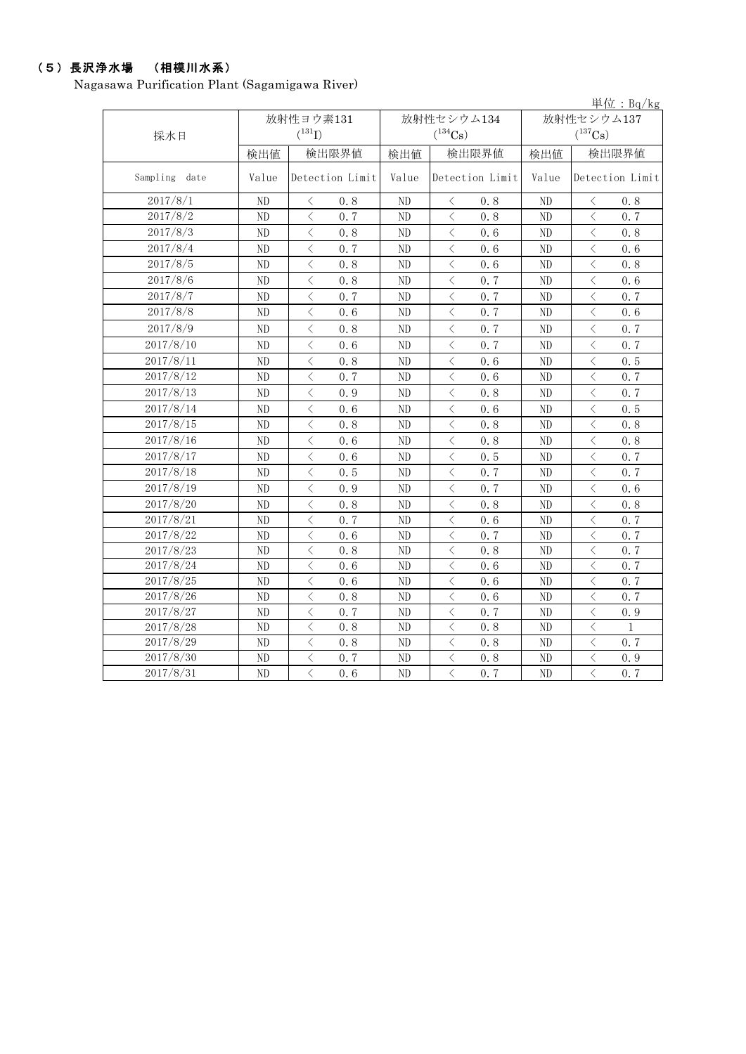### (5)長沢浄水場 (相模川水系)

Nagasawa Purification Plant (Sagamigawa River)

|               |       |                                                 |                |                                                 |                | 単位: $Bq/kg$                                     |  |
|---------------|-------|-------------------------------------------------|----------------|-------------------------------------------------|----------------|-------------------------------------------------|--|
|               |       | 放射性ヨウ素131                                       |                | 放射性セシウム134                                      | 放射性セシウム137     |                                                 |  |
| 採水日           |       | $(^{131}I)$                                     |                | $(^{134}Cs)$                                    |                | $(^{137}Cs)$                                    |  |
|               | 検出値   | 検出限界値                                           | 検出値            | 検出限界値                                           | 検出値            | 検出限界値                                           |  |
| Sampling date | Value | Detection Limit                                 | Value          | Detection Limit                                 | Value          | Detection Limit                                 |  |
| 2017/8/1      | ND    | 0.8<br>$\langle$                                | ND             | 0.8<br>$\langle$                                | ND             | 0.8<br>$\langle$                                |  |
| 2017/8/2      | ND    | $\langle$<br>0.7                                | ND             | $\overline{\left\langle \right\rangle }$<br>0.8 | ND             | $\overline{\langle}$<br>0.7                     |  |
| 2017/8/3      | ND    | $\langle$<br>0.8                                | ND             | $\langle$<br>0.6                                | ND             | $\langle$<br>0.8                                |  |
| 2017/8/4      | ND    | $\langle$<br>0.7                                | ND             | $\langle$<br>0.6                                | ND             | $\langle$<br>0.6                                |  |
| 2017/8/5      | ND    | $\lt$<br>0.8                                    | ND             | $\langle$<br>0.6                                | ND             | $\langle$<br>0.8                                |  |
| 2017/8/6      | ND.   | $\langle$<br>0.8                                | ND             | $\langle$<br>0.7                                | N <sub>D</sub> | $\langle$<br>0.6                                |  |
| 2017/8/7      | ND    | $\langle$<br>0.7                                | ND             | $\langle$<br>0.7                                | ND             | $\langle$<br>0.7                                |  |
| 2017/8/8      | ND    | $\langle$<br>0.6                                | ND             | $\langle$<br>0, 7                               | ND             | $\langle$<br>0.6                                |  |
| 2017/8/9      | ND.   | $\langle$<br>0.8                                | ND.            | $\overline{\left\langle \right\rangle }$<br>0.7 | ND             | $\overline{\left\langle \right\rangle }$<br>0.7 |  |
| 2017/8/10     | ND    | $\langle$<br>0.6                                | ND             | $\overline{\left\langle \right\rangle }$<br>0.7 | ND             | $\langle$<br>0.7                                |  |
| 2017/8/11     | ND    | $\langle$<br>0.8                                | ND             | $\langle$<br>0.6                                | ND             | $\langle$<br>0.5                                |  |
| 2017/8/12     | ND    | $\langle$<br>0.7                                | ND             | $\overline{\left\langle \right\rangle }$<br>0.6 | ND.            | $\langle$<br>0.7                                |  |
| 2017/8/13     | ND    | $\langle$<br>0.9                                | ND             | $\langle$<br>0.8                                | ND             | $\langle$<br>0.7                                |  |
| 2017/8/14     | ND    | $\langle$<br>0.6                                | ND             | $\langle$<br>0.6                                | ND             | $\langle$<br>0.5                                |  |
| 2017/8/15     | ND    | $\overline{\left\langle \right\rangle }$<br>0.8 | ND             | $\langle$<br>0.8                                | ND             | $\langle$<br>0.8                                |  |
| 2017/8/16     | ND    | $\langle$<br>0.6                                | ND             | $\langle$<br>0.8                                | ND             | $\overline{\left\langle \right\rangle }$<br>0.8 |  |
| 2017/8/17     | ND    | $\langle$<br>0.6                                | ND             | $\langle$<br>0.5                                | ND             | $\langle$<br>0.7                                |  |
| 2017/8/18     | ND    | $\langle$<br>0.5                                | ND             | $\langle$<br>0.7                                | ND             | $\langle$<br>0.7                                |  |
| 2017/8/19     | ND    | $\lt$<br>0.9                                    | ND             | $\langle$<br>0.7                                | ND             | $\lt$<br>0.6                                    |  |
| 2017/8/20     | ND    | $\lt$<br>0.8                                    | ND             | $\lt$<br>0.8                                    | ND             | $\lt$<br>0.8                                    |  |
| 2017/8/21     | ND    | $\langle$<br>0.7                                | ND             | $\langle$<br>0.6                                | ND             | $\langle$<br>0.7                                |  |
| 2017/8/22     | ND    | $\lt$<br>0.6                                    | ND             | $\langle$<br>0.7                                | ND             | $\langle$<br>0.7                                |  |
| 2017/8/23     | ND    | $\langle$<br>0.8                                | ND             | $\langle$<br>0.8                                | ND             | $\langle$<br>0.7                                |  |
| 2017/8/24     | ND    | $\langle$<br>0.6                                | ND             | $\overline{\left\langle \right\rangle }$<br>0.6 | ND             | $\langle$<br>0.7                                |  |
| 2017/8/25     | ND.   | $\langle$<br>0.6                                | ND             | $\langle$<br>0.6                                | ND             | $\langle$<br>0.7                                |  |
| 2017/8/26     | ND    | $\langle$<br>0.8                                | ND             | $\overline{\left\langle \right\rangle }$<br>0.6 | ND             | $\langle$<br>0.7                                |  |
| 2017/8/27     | ND    | $\langle$<br>0.7                                | ND             | $\langle$<br>0.7                                | ND             | $\langle$<br>0.9                                |  |
| 2017/8/28     | ND    | $\langle$<br>0.8                                | ND             | $\langle$<br>0.8                                | ND             | $\langle$<br>$\mathbf{1}$                       |  |
| 2017/8/29     | ND    | $\langle$<br>0.8                                | ND             | $\langle$<br>0.8                                | ND             | $\overline{\left\langle \right\rangle }$<br>0.7 |  |
| 2017/8/30     | ND    | $\langle$<br>0.7                                | ND             | $\overline{\left\langle \right\rangle }$<br>0.8 | ND             | $\langle$<br>0.9                                |  |
| 2017/8/31     | ND    | $\langle$<br>0.6                                | N <sub>D</sub> | $\overline{\left\langle \right\rangle }$<br>0.7 | ND             | $\overline{\left\langle \right\rangle }$<br>0.7 |  |